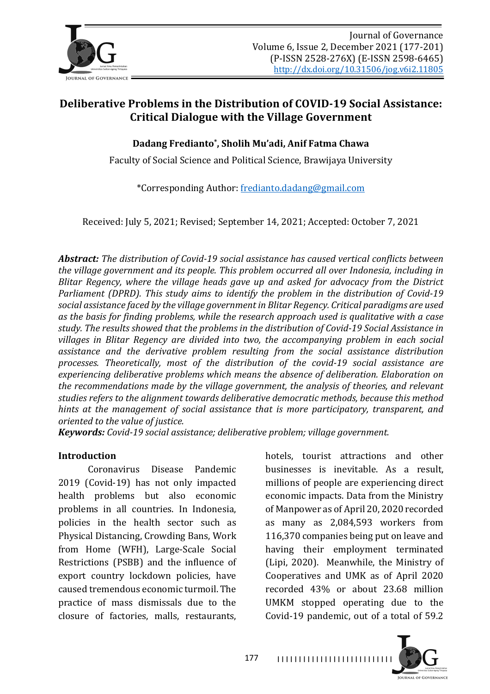

# **Deliberative Problems in the Distribution of COVID-19 Social Assistance: Critical Dialogue with the Village Government**

**Dadang Fredianto\*, Sholih Mu'adi, Anif Fatma Chawa**

Faculty of Social Science and Political Science, Brawijaya University

\*Corresponding Author: fredianto.dadang@gmail.com

Received: July 5, 2021; Revised; September 14, 2021; Accepted: October 7, 2021

*Abstract:* The distribution of Covid-19 social assistance has caused vertical conflicts between the village government and its people. This problem occurred all over Indonesia, including in *Blitar Regency, where the village heads gave up and asked for advocacy from the District Parliament (DPRD). This study aims to identify the problem in the distribution of Covid-19* social assistance faced by the village government in Blitar Regency. Critical paradigms are used as the basis for finding problems, while the research approach used is qualitative with a case study. The results showed that the problems in the distribution of Covid-19 Social Assistance in *villages in Blitar Regency are divided into two, the accompanying problem in each social assistance and the derivative problem resulting from the social assistance distribution processes. Theoretically, most of the distribution of the covid-19 social assistance are*  experiencing deliberative problems which means the absence of deliberation. Elaboration on *the recommendations made by the village government, the analysis of theories, and relevant* studies refers to the alignment towards deliberative democratic methods, because this method *hints* at the management of social assistance that is more participatory, transparent, and *oriented to the value of justice.*

*Keywords: Covid-19 social assistance; deliberative problem; village government.*

#### **Introduction**

Coronavirus Disease Pandemic 2019 (Covid-19) has not only impacted health problems but also economic problems in all countries. In Indonesia, policies in the health sector such as Physical Distancing, Crowding Bans, Work from Home (WFH), Large-Scale Social Restrictions (PSBB) and the influence of export country lockdown policies, have caused tremendous economic turmoil. The practice of mass dismissals due to the closure of factories, malls, restaurants,

hotels, tourist attractions and other businesses is inevitable. As a result, millions of people are experiencing direct economic impacts. Data from the Ministry of Manpower as of April 20, 2020 recorded as many as 2,084,593 workers from 116,370 companies being put on leave and having their employment terminated (Lipi, 2020). Meanwhile, the Ministry of Cooperatives and UMK as of April 2020 recorded 43% or about 23.68 million UMKM stopped operating due to the Covid-19 pandemic, out of a total of 59.2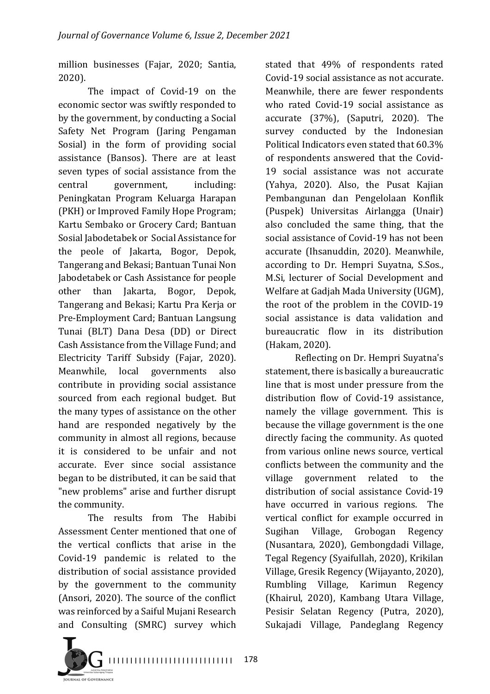million businesses (Fajar, 2020; Santia, 2020).

The impact of Covid-19 on the economic sector was swiftly responded to by the government, by conducting a Social Safety Net Program (Jaring Pengaman Sosial) in the form of providing social assistance (Bansos). There are at least seven types of social assistance from the central government, including: Peningkatan Program Keluarga Harapan (PKH) or Improved Family Hope Program; Kartu Sembako or Grocery Card; Bantuan Sosial Jabodetabek or Social Assistance for the peole of Jakarta, Bogor, Depok, Tangerang and Bekasi; Bantuan Tunai Non Jabodetabek or Cash Assistance for people other than Jakarta, Bogor, Depok, Tangerang and Bekasi: Kartu Pra Kerja or Pre-Employment Card; Bantuan Langsung Tunai (BLT) Dana Desa (DD) or Direct Cash Assistance from the Village Fund; and Electricity Tariff Subsidy (Fajar, 2020). Meanwhile, local governments also contribute in providing social assistance sourced from each regional budget. But the many types of assistance on the other hand are responded negatively by the community in almost all regions, because it is considered to be unfair and not accurate. Ever since social assistance began to be distributed, it can be said that "new problems" arise and further disrupt the community.

The results from The Habibi Assessment Center mentioned that one of the vertical conflicts that arise in the Covid-19 pandemic is related to the distribution of social assistance provided by the government to the community (Ansori, 2020). The source of the conflict was reinforced by a Saiful Mujani Research and Consulting (SMRC) survey which

stated that 49% of respondents rated Covid-19 social assistance as not accurate. Meanwhile, there are fewer respondents who rated Covid-19 social assistance as accurate (37%), (Saputri, 2020). The survey conducted by the Indonesian Political Indicators even stated that 60.3% of respondents answered that the Covid-19 social assistance was not accurate (Yahya, 2020). Also, the Pusat Kajian Pembangunan dan Pengelolaan Konflik (Puspek) Universitas Airlangga (Unair) also concluded the same thing, that the social assistance of Covid-19 has not been accurate (Ihsanuddin, 2020). Meanwhile, according to Dr. Hempri Suyatna, S.Sos., M.Si, lecturer of Social Development and Welfare at Gadjah Mada University (UGM), the root of the problem in the COVID-19 social assistance is data validation and bureaucratic flow in its distribution (Hakam, 2020).

Reflecting on Dr. Hempri Suyatna's statement, there is basically a bureaucratic line that is most under pressure from the distribution flow of Covid-19 assistance, namely the village government. This is because the village government is the one directly facing the community. As quoted from various online news source, vertical conflicts between the community and the village government related to the distribution of social assistance Covid-19 have occurred in various regions. The vertical conflict for example occurred in Sugihan Village, Grobogan Regency (Nusantara, 2020), Gembongdadi Village, Tegal Regency (Syaifullah, 2020), Krikilan Village, Gresik Regency (Wijayanto, 2020), Rumbling Village, Karimun Regency (Khairul, 2020), Kambang Utara Village, Pesisir Selatan Regency (Putra, 2020), Sukajadi Village, Pandeglang Regency

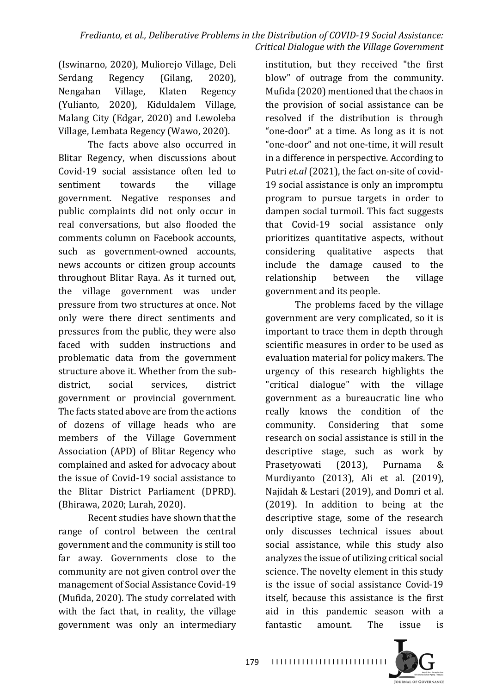(Iswinarno, 2020), Muliorejo Village, Deli Serdang Regency (Gilang, 2020), Nengahan Village, Klaten Regency (Yulianto, 2020), Kiduldalem Village, Malang City (Edgar, 2020) and Lewoleba Village, Lembata Regency (Wawo, 2020).

The facts above also occurred in Blitar Regency, when discussions about Covid-19 social assistance often led to sentiment towards the village government. Negative responses and public complaints did not only occur in real conversations, but also flooded the comments column on Facebook accounts, such as government-owned accounts, news accounts or citizen group accounts throughout Blitar Raya. As it turned out, the village government was under pressure from two structures at once. Not only were there direct sentiments and pressures from the public, they were also faced with sudden instructions and problematic data from the government structure above it. Whether from the subdistrict, social services, district government or provincial government. The facts stated above are from the actions of dozens of village heads who are members of the Village Government Association (APD) of Blitar Regency who complained and asked for advocacy about the issue of Covid-19 social assistance to the Blitar District Parliament (DPRD). (Bhirawa, 2020; Lurah, 2020).

Recent studies have shown that the range of control between the central government and the community is still too far away. Governments close to the community are not given control over the management of Social Assistance Covid-19 (Mufida, 2020). The study correlated with with the fact that, in reality, the village government was only an intermediary

institution, but they received "the first blow" of outrage from the community. Mufida (2020) mentioned that the chaos in the provision of social assistance can be resolved if the distribution is through "one-door" at a time. As long as it is not "one-door" and not one-time, it will result in a difference in perspective. According to Putri et.al (2021), the fact on-site of covid-19 social assistance is only an impromptu program to pursue targets in order to dampen social turmoil. This fact suggests that Covid-19 social assistance only prioritizes quantitative aspects, without considering qualitative aspects that include the damage caused to the relationship between the village government and its people.

The problems faced by the village government are very complicated, so it is important to trace them in depth through scientific measures in order to be used as evaluation material for policy makers. The urgency of this research highlights the "critical dialogue" with the village government as a bureaucratic line who really knows the condition of the community. Considering that some research on social assistance is still in the descriptive stage, such as work by Prasetyowati (2013), Purnama & Murdiyanto (2013), Ali et al. (2019), Najidah & Lestari (2019), and Domri et al.  $(2019)$ . In addition to being at the descriptive stage, some of the research only discusses technical issues about social assistance, while this study also analyzes the issue of utilizing critical social science. The novelty element in this study is the issue of social assistance Covid-19 itself, because this assistance is the first aid in this pandemic season with a fantastic amount. The issue is

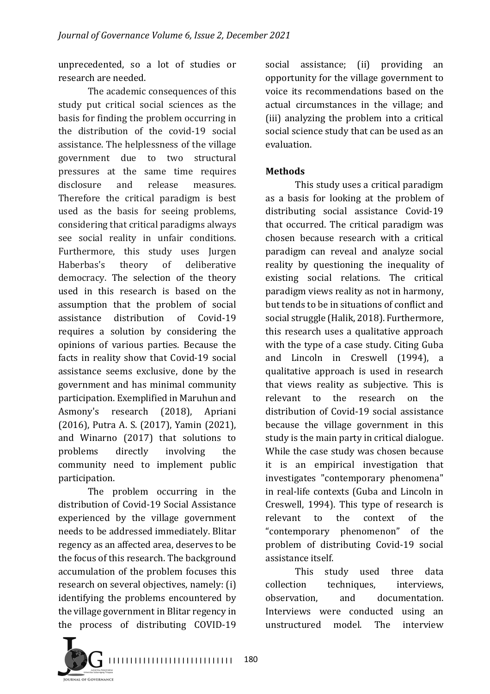unprecedented, so a lot of studies or research are needed.

The academic consequences of this study put critical social sciences as the basis for finding the problem occurring in the distribution of the covid-19 social assistance. The helplessness of the village government due to two structural pressures at the same time requires disclosure and release measures. Therefore the critical paradigm is best used as the basis for seeing problems, considering that critical paradigms always see social reality in unfair conditions. Furthermore, this study uses Jurgen Haberbas's theory of deliberative democracy. The selection of the theory used in this research is based on the assumption that the problem of social assistance distribution of Covid-19 requires a solution by considering the opinions of various parties. Because the facts in reality show that Covid-19 social assistance seems exclusive, done by the government and has minimal community participation. Exemplified in Maruhun and Asmony's research (2018), Apriani (2016), Putra A. S. (2017), Yamin (2021), and Winarno (2017) that solutions to problems directly involving the community need to implement public participation.

The problem occurring in the distribution of Covid-19 Social Assistance experienced by the village government needs to be addressed immediately. Blitar regency as an affected area, deserves to be the focus of this research. The background accumulation of the problem focuses this research on several objectives, namely: (i) identifying the problems encountered by the village government in Blitar regency in the process of distributing COVID-19

social assistance; (ii) providing an opportunity for the village government to voice its recommendations based on the actual circumstances in the village: and (iii) analyzing the problem into a critical social science study that can be used as an evaluation. 

## **Methods**

This study uses a critical paradigm as a basis for looking at the problem of distributing social assistance Covid-19 that occurred. The critical paradigm was chosen because research with a critical paradigm can reveal and analyze social reality by questioning the inequality of existing social relations. The critical paradigm views reality as not in harmony, but tends to be in situations of conflict and social struggle (Halik, 2018). Furthermore, this research uses a qualitative approach with the type of a case study. Citing Guba and Lincoln in Creswell (1994), a qualitative approach is used in research that views reality as subjective. This is relevant to the research on the distribution of Covid-19 social assistance because the village government in this study is the main party in critical dialogue. While the case study was chosen because it is an empirical investigation that investigates "contemporary phenomena" in real-life contexts (Guba and Lincoln in Creswell, 1994). This type of research is relevant to the context of the "contemporary phenomenon" of the problem of distributing Covid-19 social assistance itself.

This study used three data collection techniques, interviews, observation, and documentation. Interviews were conducted using an unstructured model. The interview

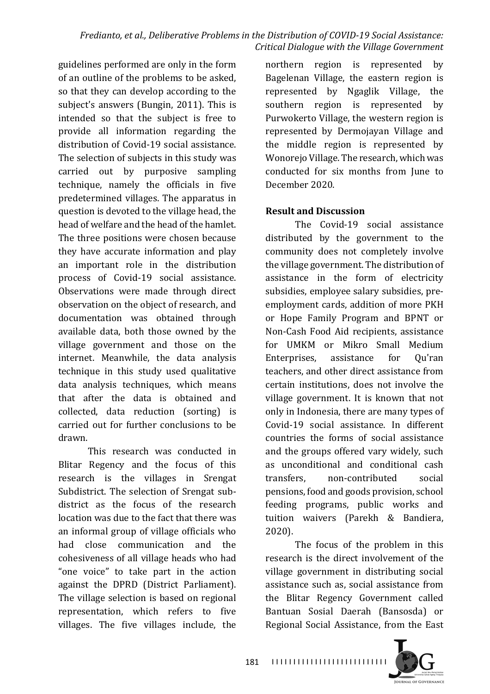guidelines performed are only in the form of an outline of the problems to be asked, so that they can develop according to the subject's answers (Bungin, 2011). This is intended so that the subject is free to provide all information regarding the distribution of Covid-19 social assistance. The selection of subjects in this study was carried out by purposive sampling technique, namely the officials in five predetermined villages. The apparatus in question is devoted to the village head, the head of welfare and the head of the hamlet. The three positions were chosen because they have accurate information and play an important role in the distribution process of Covid-19 social assistance. Observations were made through direct observation on the object of research, and documentation was obtained through available data, both those owned by the village government and those on the internet. Meanwhile, the data analysis technique in this study used qualitative data analysis techniques, which means that after the data is obtained and collected, data reduction (sorting) is carried out for further conclusions to be drawn.

This research was conducted in Blitar Regency and the focus of this research is the villages in Srengat Subdistrict. The selection of Srengat subdistrict as the focus of the research location was due to the fact that there was an informal group of village officials who had close communication and the cohesiveness of all village heads who had "one voice" to take part in the action against the DPRD (District Parliament). The village selection is based on regional representation, which refers to five villages. The five villages include, the

northern region is represented by Bagelenan Village, the eastern region is represented by Ngaglik Village, the southern region is represented by Purwokerto Village, the western region is represented by Dermojayan Village and the middle region is represented by Wonorejo Village. The research, which was conducted for six months from June to December 2020.

#### **Result and Discussion**

The Covid-19 social assistance distributed by the government to the community does not completely involve the village government. The distribution of assistance in the form of electricity subsidies, employee salary subsidies, preemployment cards, addition of more PKH or Hope Family Program and BPNT or Non-Cash Food Aid recipients, assistance for UMKM or Mikro Small Medium Enterprises, assistance for Ou'ran teachers, and other direct assistance from certain institutions, does not involve the village government. It is known that not only in Indonesia, there are many types of Covid-19 social assistance. In different countries the forms of social assistance and the groups offered vary widely, such as unconditional and conditional cash transfers, non-contributed social pensions, food and goods provision, school feeding programs, public works and tuition waivers (Parekh & Bandiera, 2020). 

The focus of the problem in this research is the direct involvement of the village government in distributing social assistance such as, social assistance from the Blitar Regency Government called Bantuan Sosial Daerah (Bansosda) or Regional Social Assistance, from the East

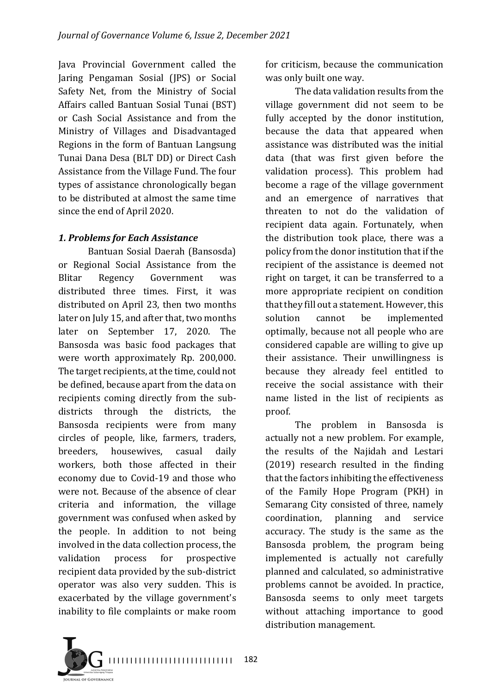Java Provincial Government called the Jaring Pengaman Sosial (JPS) or Social Safety Net, from the Ministry of Social Affairs called Bantuan Sosial Tunai (BST) or Cash Social Assistance and from the Ministry of Villages and Disadvantaged Regions in the form of Bantuan Langsung Tunai Dana Desa (BLT DD) or Direct Cash Assistance from the Village Fund. The four types of assistance chronologically began to be distributed at almost the same time since the end of April 2020.

# *1. Problems for Each Assistance*

Bantuan Sosial Daerah (Bansosda) or Regional Social Assistance from the Blitar Regency Government was distributed three times. First, it was distributed on April 23, then two months later on July 15, and after that, two months later on September 17, 2020. The Bansosda was basic food packages that were worth approximately Rp. 200,000. The target recipients, at the time, could not be defined, because apart from the data on recipients coming directly from the subdistricts through the districts, the Bansosda recipients were from many circles of people, like, farmers, traders, breeders, housewives, casual daily workers, both those affected in their economy due to Covid-19 and those who were not. Because of the absence of clear criteria and information, the village government was confused when asked by the people. In addition to not being involved in the data collection process, the validation process for prospective recipient data provided by the sub-district operator was also very sudden. This is exacerbated by the village government's inability to file complaints or make room

for criticism, because the communication was only built one way.

The data validation results from the village government did not seem to be fully accepted by the donor institution, because the data that appeared when assistance was distributed was the initial data (that was first given before the validation process). This problem had become a rage of the village government and an emergence of narratives that threaten to not do the validation of recipient data again. Fortunately, when the distribution took place, there was a policy from the donor institution that if the recipient of the assistance is deemed not right on target, it can be transferred to a more appropriate recipient on condition that they fill out a statement. However, this solution cannot be implemented optimally, because not all people who are considered capable are willing to give up their assistance. Their unwillingness is because they already feel entitled to receive the social assistance with their name listed in the list of recipients as proof. 

The problem in Bansosda is actually not a new problem. For example, the results of the Najidah and Lestari  $(2019)$  research resulted in the finding that the factors inhibiting the effectiveness of the Family Hope Program (PKH) in Semarang City consisted of three, namely coordination, planning and service accuracy. The study is the same as the Bansosda problem, the program being implemented is actually not carefully planned and calculated, so administrative problems cannot be avoided. In practice, Bansosda seems to only meet targets without attaching importance to good distribution management.

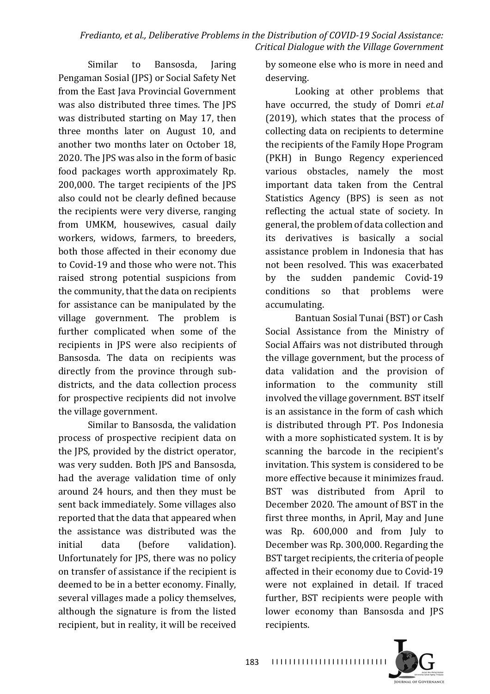Similar to Bansosda, Jaring Pengaman Sosial (JPS) or Social Safety Net from the East Java Provincial Government was also distributed three times. The IPS was distributed starting on May 17, then three months later on August 10, and another two months later on October 18. 2020. The JPS was also in the form of basic food packages worth approximately Rp.  $200,000$ . The target recipients of the  $|PS|$ also could not be clearly defined because the recipients were very diverse, ranging from UMKM, housewives, casual daily workers, widows, farmers, to breeders, both those affected in their economy due to Covid-19 and those who were not. This raised strong potential suspicions from the community, that the data on recipients for assistance can be manipulated by the village government. The problem is further complicated when some of the recipients in JPS were also recipients of Bansosda. The data on recipients was directly from the province through subdistricts, and the data collection process for prospective recipients did not involve the village government.

Similar to Bansosda, the validation process of prospective recipient data on the JPS, provided by the district operator, was very sudden. Both IPS and Bansosda. had the average validation time of only around 24 hours, and then they must be sent back immediately. Some villages also reported that the data that appeared when the assistance was distributed was the initial data (before validation). Unfortunately for JPS, there was no policy on transfer of assistance if the recipient is deemed to be in a better economy. Finally, several villages made a policy themselves, although the signature is from the listed recipient, but in reality, it will be received by someone else who is more in need and deserving.

Looking at other problems that have occurred, the study of Domri *et.al*  $(2019)$ , which states that the process of collecting data on recipients to determine the recipients of the Family Hope Program (PKH) in Bungo Regency experienced various obstacles, namely the most important data taken from the Central Statistics Agency (BPS) is seen as not reflecting the actual state of society. In general, the problem of data collection and its derivatives is basically a social assistance problem in Indonesia that has not been resolved. This was exacerbated by the sudden pandemic Covid-19 conditions so that problems were accumulating.

Bantuan Sosial Tunai (BST) or Cash Social Assistance from the Ministry of Social Affairs was not distributed through the village government, but the process of data validation and the provision of information to the community still involved the village government. BST itself is an assistance in the form of cash which is distributed through PT. Pos Indonesia with a more sophisticated system. It is by scanning the barcode in the recipient's invitation. This system is considered to be more effective because it minimizes fraud. BST was distributed from April to December 2020. The amount of BST in the first three months, in April, May and June was Rp. 600,000 and from July to December was Rp. 300,000. Regarding the BST target recipients, the criteria of people affected in their economy due to Covid-19 were not explained in detail. If traced further, BST recipients were people with lower economy than Bansosda and JPS recipients. 

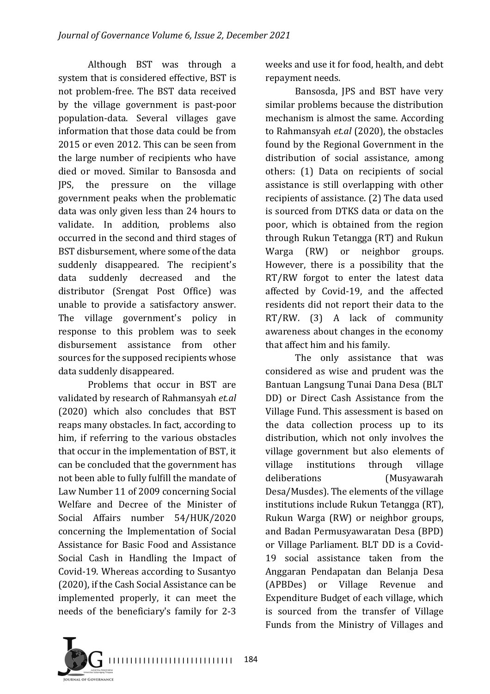Although BST was through a system that is considered effective, BST is not problem-free. The BST data received by the village government is past-poor population-data. Several villages gave information that those data could be from 2015 or even 2012. This can be seen from the large number of recipients who have died or moved. Similar to Bansosda and JPS, the pressure on the village government peaks when the problematic data was only given less than 24 hours to validate. In addition, problems also occurred in the second and third stages of BST disbursement, where some of the data suddenly disappeared. The recipient's data suddenly decreased and the distributor (Srengat Post Office) was unable to provide a satisfactory answer. The village government's policy in response to this problem was to seek disbursement assistance from other sources for the supposed recipients whose data suddenly disappeared.

Problems that occur in BST are validated by research of Rahmansyah *et.al* (2020) which also concludes that BST reaps many obstacles. In fact, according to him, if referring to the various obstacles that occur in the implementation of BST, it can be concluded that the government has not been able to fully fulfill the mandate of Law Number 11 of 2009 concerning Social Welfare and Decree of the Minister of Social Affairs number 54/HUK/2020 concerning the Implementation of Social Assistance for Basic Food and Assistance Social Cash in Handling the Impact of Covid-19. Whereas according to Susantyo (2020), if the Cash Social Assistance can be implemented properly, it can meet the needs of the beneficiary's family for 2-3

weeks and use it for food, health, and debt repayment needs.

Bansosda, JPS and BST have very similar problems because the distribution mechanism is almost the same. According to Rahmansyah *et.al* (2020), the obstacles found by the Regional Government in the distribution of social assistance, among others: (1) Data on recipients of social assistance is still overlapping with other recipients of assistance. (2) The data used is sourced from DTKS data or data on the poor, which is obtained from the region through Rukun Tetangga (RT) and Rukun Warga (RW) or neighbor groups. However, there is a possibility that the RT/RW forgot to enter the latest data affected by Covid-19, and the affected residents did not report their data to the RT/RW. (3) A lack of community awareness about changes in the economy that affect him and his family.

The only assistance that was considered as wise and prudent was the Bantuan Langsung Tunai Dana Desa (BLT DD) or Direct Cash Assistance from the Village Fund. This assessment is based on the data collection process up to its distribution, which not only involves the village government but also elements of village institutions through village deliberations (Musyawarah Desa/Musdes). The elements of the village institutions include Rukun Tetangga (RT), Rukun Warga (RW) or neighbor groups, and Badan Permusyawaratan Desa (BPD) or Village Parliament. BLT DD is a Covid-19 social assistance taken from the Anggaran Pendapatan dan Belanja Desa (APBDes) or Village Revenue and Expenditure Budget of each village, which is sourced from the transfer of Village Funds from the Ministry of Villages and

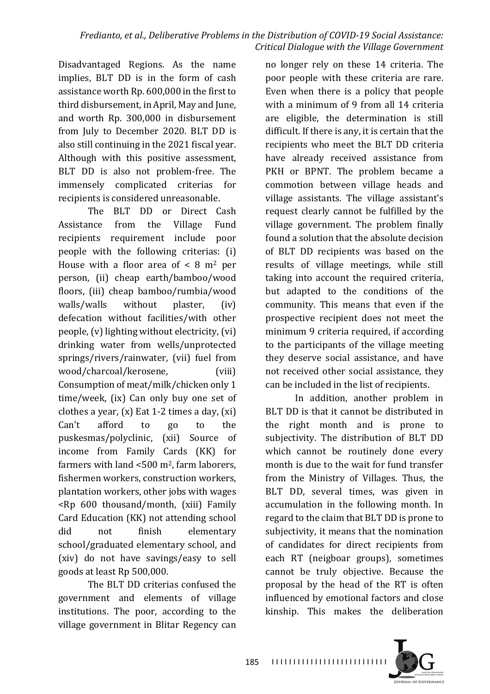Disadvantaged Regions. As the name implies, BLT DD is in the form of cash assistance worth Rp. 600,000 in the first to third disbursement, in April, May and June, and worth Rp. 300,000 in disbursement from July to December 2020. BLT DD is also still continuing in the 2021 fiscal year. Although with this positive assessment, BLT DD is also not problem-free. The immensely complicated criterias for recipients is considered unreasonable.

The BLT DD or Direct Cash Assistance from the Village Fund recipients requirement include poor people with the following criterias: (i) House with a floor area of  $\lt 8$  m<sup>2</sup> per person, (ii) cheap earth/bamboo/wood floors, (iii) cheap bamboo/rumbia/wood walls/walls without plaster,  $(iv)$ defecation without facilities/with other people,  $(v)$  lighting without electricity,  $(vi)$ drinking water from wells/unprotected springs/rivers/rainwater, (vii) fuel from wood/charcoal/kerosene, [viii] Consumption of meat/milk/chicken only 1  $time/week$ ,  $(ix)$  Can only buy one set of clothes a year,  $(x)$  Eat 1-2 times a day,  $(xi)$ Can't afford to go to the puskesmas/polyclinic, (xii) Source of income from Family Cards (KK) for farmers with land  $<500$  m<sup>2</sup>, farm laborers, fishermen workers, construction workers, plantation workers, other jobs with wages  $Rp$  600 thousand/month, (xiii) Family Card Education (KK) not attending school did not finish elementary school/graduated elementary school, and (xiv) do not have savings/easy to sell goods at least Rp 500,000.

The BLT DD criterias confused the government and elements of village institutions. The poor, according to the village government in Blitar Regency can

no longer rely on these 14 criteria. The poor people with these criteria are rare. Even when there is a policy that people with a minimum of 9 from all 14 criteria are eligible, the determination is still difficult. If there is any, it is certain that the recipients who meet the BLT DD criteria have already received assistance from PKH or BPNT. The problem became a commotion between village heads and village assistants. The village assistant's request clearly cannot be fulfilled by the village government. The problem finally found a solution that the absolute decision of BLT DD recipients was based on the results of village meetings, while still taking into account the required criteria, but adapted to the conditions of the community. This means that even if the prospective recipient does not meet the minimum 9 criteria required, if according to the participants of the village meeting they deserve social assistance, and have not received other social assistance, they can be included in the list of recipients.

In addition, another problem in BLT DD is that it cannot be distributed in the right month and is prone to subjectivity. The distribution of BLT DD which cannot be routinely done every month is due to the wait for fund transfer from the Ministry of Villages. Thus, the BLT DD, several times, was given in accumulation in the following month. In regard to the claim that BLT DD is prone to subjectivity, it means that the nomination of candidates for direct recipients from each RT (neigboar groups), sometimes cannot be truly objective. Because the proposal by the head of the RT is often influenced by emotional factors and close kinship. This makes the deliberation 

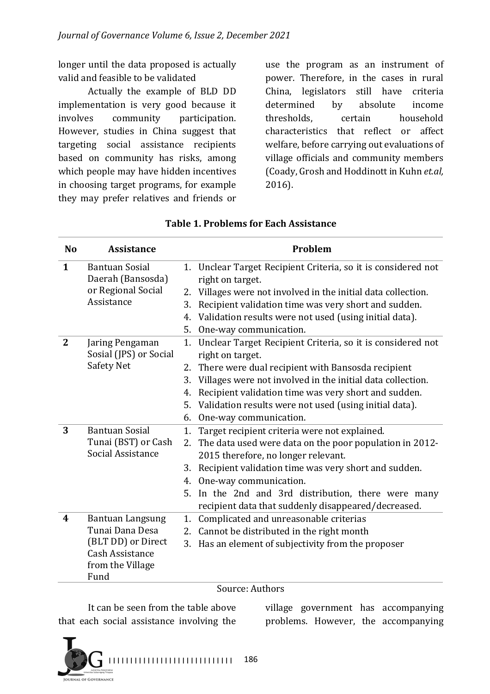longer until the data proposed is actually valid and feasible to be validated

Actually the example of BLD DD implementation is very good because it involves community participation. However, studies in China suggest that targeting social assistance recipients based on community has risks, among which people may have hidden incentives in choosing target programs, for example they may prefer relatives and friends or

use the program as an instrument of power. Therefore, in the cases in rural China, legislators still have criteria determined by absolute income thresholds, certain household characteristics that reflect or affect welfare, before carrying out evaluations of village officials and community members (Coady, Grosh and Hoddinott in Kuhn et.al, 2016).

| <b>No</b>        | <b>Assistance</b>                                                              | Problem |                                                                                   |  |
|------------------|--------------------------------------------------------------------------------|---------|-----------------------------------------------------------------------------------|--|
| $\mathbf{1}$     | <b>Bantuan Sosial</b><br>Daerah (Bansosda)<br>or Regional Social<br>Assistance |         | 1. Unclear Target Recipient Criteria, so it is considered not<br>right on target. |  |
|                  |                                                                                | 2.      | Villages were not involved in the initial data collection.                        |  |
|                  |                                                                                | 3.      | Recipient validation time was very short and sudden.                              |  |
|                  |                                                                                | 4.      | Validation results were not used (using initial data).                            |  |
|                  |                                                                                |         | 5. One-way communication.                                                         |  |
| $\mathbf{2}$     | Jaring Pengaman<br>Sosial (JPS) or Social<br>Safety Net                        |         | 1. Unclear Target Recipient Criteria, so it is considered not<br>right on target. |  |
|                  |                                                                                | 2.      | There were dual recipient with Bansosda recipient                                 |  |
|                  |                                                                                | 3.      | Villages were not involved in the initial data collection.                        |  |
|                  |                                                                                | 4.      | Recipient validation time was very short and sudden.                              |  |
|                  |                                                                                |         | 5. Validation results were not used (using initial data).                         |  |
|                  |                                                                                | 6.      | One-way communication.                                                            |  |
| 3                | <b>Bantuan Sosial</b><br>Tunai (BST) or Cash<br>Social Assistance              | 1.      | Target recipient criteria were not explained.                                     |  |
|                  |                                                                                |         | 2. The data used were data on the poor population in 2012-                        |  |
|                  |                                                                                |         | 2015 therefore, no longer relevant.                                               |  |
|                  |                                                                                | 3.      | Recipient validation time was very short and sudden.                              |  |
|                  |                                                                                | 4.      | One-way communication.                                                            |  |
|                  |                                                                                |         | 5. In the 2nd and 3rd distribution, there were many                               |  |
|                  |                                                                                |         | recipient data that suddenly disappeared/decreased.                               |  |
| $\boldsymbol{4}$ | <b>Bantuan Langsung</b><br>Tunai Dana Desa<br>(BLT DD) or Direct               | 1.      | Complicated and unreasonable criterias                                            |  |
|                  |                                                                                |         | 2. Cannot be distributed in the right month                                       |  |
|                  |                                                                                |         | 3. Has an element of subjectivity from the proposer                               |  |
|                  | <b>Cash Assistance</b><br>from the Village                                     |         |                                                                                   |  |
|                  | Fund                                                                           |         |                                                                                   |  |

### **Table 1. Problems for Each Assistance**

#### Source: Authors

It can be seen from the table above that each social assistance involving the village government has accompanying problems. However, the accompanying

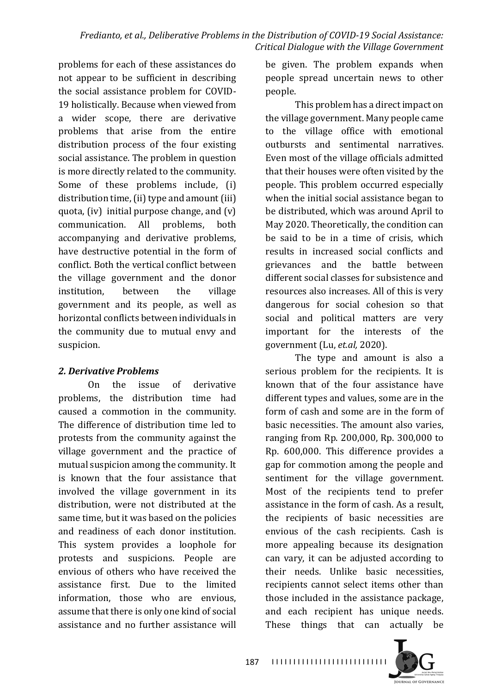problems for each of these assistances do not appear to be sufficient in describing the social assistance problem for COVID-19 holistically. Because when viewed from a wider scope, there are derivative problems that arise from the entire distribution process of the four existing social assistance. The problem in question is more directly related to the community. Some of these problems include, (i) distribution time, (ii) type and amount (iii) quota, (iv) initial purpose change, and  $(v)$ communication. All problems, both accompanying and derivative problems, have destructive potential in the form of conflict. Both the vertical conflict between the village government and the donor institution, between the village government and its people, as well as horizontal conflicts between individuals in the community due to mutual envy and suspicion.

### *2. Derivative Problems*

On the issue of derivative problems, the distribution time had caused a commotion in the community. The difference of distribution time led to protests from the community against the village government and the practice of mutual suspicion among the community. It is known that the four assistance that involved the village government in its distribution, were not distributed at the same time, but it was based on the policies and readiness of each donor institution. This system provides a loophole for protests and suspicions. People are envious of others who have received the assistance first. Due to the limited information, those who are envious, assume that there is only one kind of social assistance and no further assistance will

be given. The problem expands when people spread uncertain news to other people. 

This problem has a direct impact on the village government. Many people came to the village office with emotional outbursts and sentimental narratives. Even most of the village officials admitted that their houses were often visited by the people. This problem occurred especially when the initial social assistance began to be distributed, which was around April to May 2020. Theoretically, the condition can be said to be in a time of crisis, which results in increased social conflicts and grievances and the battle between different social classes for subsistence and resources also increases. All of this is very dangerous for social cohesion so that social and political matters are very important for the interests of the government (Lu, *et.al*, 2020).

The type and amount is also a serious problem for the recipients. It is known that of the four assistance have different types and values, some are in the form of cash and some are in the form of basic necessities. The amount also varies, ranging from Rp. 200,000, Rp. 300,000 to Rp. 600,000. This difference provides a gap for commotion among the people and sentiment for the village government. Most of the recipients tend to prefer assistance in the form of cash. As a result, the recipients of basic necessities are envious of the cash recipients. Cash is more appealing because its designation can vary, it can be adiusted according to their needs. Unlike basic necessities, recipients cannot select items other than those included in the assistance package, and each recipient has unique needs. These things that can actually be

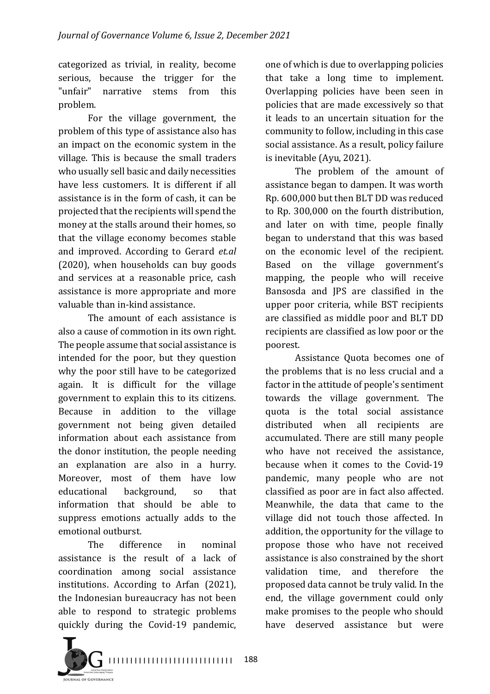categorized as trivial, in reality, become serious, because the trigger for the "unfair" narrative stems from this problem. 

For the village government, the problem of this type of assistance also has an impact on the economic system in the village. This is because the small traders who usually sell basic and daily necessities have less customers. It is different if all assistance is in the form of cash, it can be projected that the recipients will spend the money at the stalls around their homes, so that the village economy becomes stable and improved. According to Gerard *et.al*  $(2020)$ , when households can buy goods and services at a reasonable price, cash assistance is more appropriate and more valuable than in-kind assistance.

The amount of each assistance is also a cause of commotion in its own right. The people assume that social assistance is intended for the poor, but they question why the poor still have to be categorized again. It is difficult for the village government to explain this to its citizens. Because in addition to the village government not being given detailed information about each assistance from the donor institution, the people needing an explanation are also in a hurry. Moreover, most of them have low educational background, so that information that should be able to suppress emotions actually adds to the emotional outburst.

The difference in nominal assistance is the result of a lack of coordination among social assistance institutions. According to Arfan (2021), the Indonesian bureaucracy has not been able to respond to strategic problems quickly during the Covid-19 pandemic, 

one of which is due to overlapping policies that take a long time to implement. Overlapping policies have been seen in policies that are made excessively so that it leads to an uncertain situation for the community to follow, including in this case social assistance. As a result, policy failure is inevitable (Ayu, 2021).

The problem of the amount of assistance began to dampen. It was worth Rp. 600,000 but then BLT DD was reduced to Rp. 300,000 on the fourth distribution, and later on with time, people finally began to understand that this was based on the economic level of the recipient. Based on the village government's mapping, the people who will receive Bansosda and JPS are classified in the upper poor criteria, while BST recipients are classified as middle poor and BLT DD recipients are classified as low poor or the poorest. 

Assistance Ouota becomes one of the problems that is no less crucial and a factor in the attitude of people's sentiment towards the village government. The quota is the total social assistance distributed when all recipients are accumulated. There are still many people who have not received the assistance, because when it comes to the Covid-19 pandemic, many people who are not classified as poor are in fact also affected. Meanwhile, the data that came to the village did not touch those affected. In addition, the opportunity for the village to propose those who have not received assistance is also constrained by the short validation time, and therefore the proposed data cannot be truly valid. In the end, the village government could only make promises to the people who should have deserved assistance but were

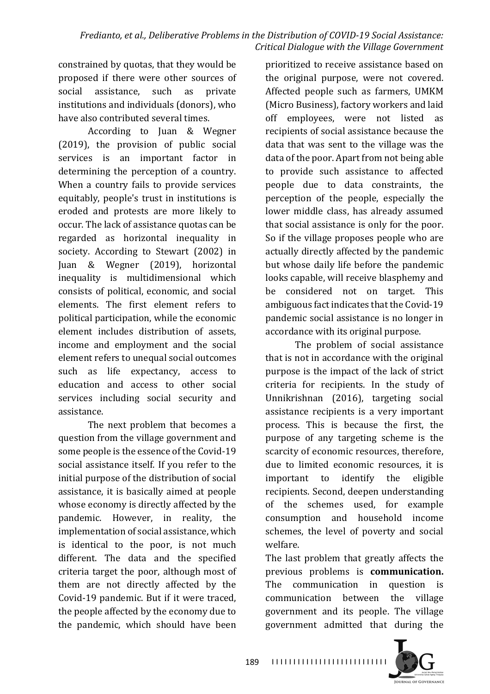constrained by quotas, that they would be proposed if there were other sources of social assistance, such as private institutions and individuals (donors), who have also contributed several times.

According to Juan & Wegner  $(2019)$ , the provision of public social services is an important factor in determining the perception of a country. When a country fails to provide services equitably, people's trust in institutions is eroded and protests are more likely to occur. The lack of assistance quotas can be regarded as horizontal inequality in society. According to Stewart (2002) in Juan & Wegner (2019), horizontal inequality is multidimensional which consists of political, economic, and social elements. The first element refers to political participation, while the economic element includes distribution of assets, income and employment and the social element refers to unequal social outcomes such as life expectancy, access to education and access to other social services including social security and assistance. 

The next problem that becomes a question from the village government and some people is the essence of the Covid-19 social assistance itself. If you refer to the initial purpose of the distribution of social assistance, it is basically aimed at people whose economy is directly affected by the pandemic. However, in reality, the implementation of social assistance, which is identical to the poor, is not much different. The data and the specified criteria target the poor, although most of them are not directly affected by the Covid-19 pandemic. But if it were traced, the people affected by the economy due to the pandemic, which should have been

prioritized to receive assistance based on the original purpose, were not covered. Affected people such as farmers, UMKM (Micro Business), factory workers and laid off employees, were not listed as recipients of social assistance because the data that was sent to the village was the data of the poor. Apart from not being able to provide such assistance to affected people due to data constraints, the perception of the people, especially the lower middle class, has already assumed that social assistance is only for the poor. So if the village proposes people who are actually directly affected by the pandemic but whose daily life before the pandemic looks capable, will receive blasphemy and be considered not on target. This ambiguous fact indicates that the Covid-19 pandemic social assistance is no longer in accordance with its original purpose.

The problem of social assistance that is not in accordance with the original purpose is the impact of the lack of strict criteria for recipients. In the study of Unnikrishnan (2016), targeting social assistance recipients is a very important process. This is because the first, the purpose of any targeting scheme is the scarcity of economic resources, therefore, due to limited economic resources, it is important to identify the eligible recipients. Second, deepen understanding of the schemes used, for example consumption and household income schemes, the level of poverty and social welfare.

The last problem that greatly affects the previous problems is **communication.** The communication in question is communication between the village government and its people. The village government admitted that during the 

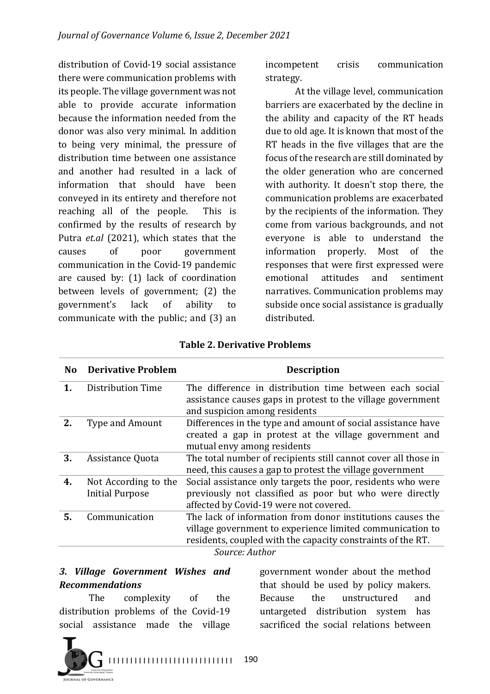distribution of Covid-19 social assistance there were communication problems with its people. The village government was not able to provide accurate information because the information needed from the donor was also very minimal. In addition to being very minimal, the pressure of distribution time between one assistance and another had resulted in a lack of information that should have been conveyed in its entirety and therefore not reaching all of the people. This is confirmed by the results of research by Putra *et.al* (2021), which states that the causes of poor government communication in the Covid-19 pandemic are caused by:  $(1)$  lack of coordination between levels of government; (2) the government's lack of ability to communicate with the public; and  $(3)$  an

incompetent crisis communication strategy.

At the village level, communication barriers are exacerbated by the decline in the ability and capacity of the RT heads due to old age. It is known that most of the RT heads in the five villages that are the focus of the research are still dominated by the older generation who are concerned with authority. It doesn't stop there, the communication problems are exacerbated by the recipients of the information. They come from various backgrounds, and not everyone is able to understand the information properly. Most of the responses that were first expressed were emotional attitudes and sentiment narratives. Communication problems may subside once social assistance is gradually distributed.

| N <sub>o</sub> | <b>Derivative Problem</b>                      | <b>Description</b>                                                                                                                                                                                       |  |
|----------------|------------------------------------------------|----------------------------------------------------------------------------------------------------------------------------------------------------------------------------------------------------------|--|
|                | Distribution Time                              | The difference in distribution time between each social<br>assistance causes gaps in protest to the village government<br>and suspicion among residents                                                  |  |
| 2.             | <b>Type and Amount</b>                         | Differences in the type and amount of social assistance have<br>created a gap in protest at the village government and<br>mutual envy among residents                                                    |  |
| 3.             | Assistance Quota                               | The total number of recipients still cannot cover all those in<br>need, this causes a gap to protest the village government                                                                              |  |
| 4.             | Not According to the<br><b>Initial Purpose</b> | Social assistance only targets the poor, residents who were<br>previously not classified as poor but who were directly<br>affected by Covid-19 were not covered.                                         |  |
| 5.             | Communication                                  | The lack of information from donor institutions causes the<br>village government to experience limited communication to<br>residents, coupled with the capacity constraints of the RT.<br>Source: Author |  |

|  |  | <b>Table 2. Derivative Problems</b> |  |
|--|--|-------------------------------------|--|
|--|--|-------------------------------------|--|

*3. Village Government Wishes and Recommendations*

The complexity of the distribution problems of the Covid-19 social assistance made the village

I I I I I I I I I I I I I I I I I I I I I I I I I I I I I 190 **IRNAL OF GOVERNANCE** 

government wonder about the method that should be used by policy makers. Because the unstructured and untargeted distribution system has sacrificed the social relations between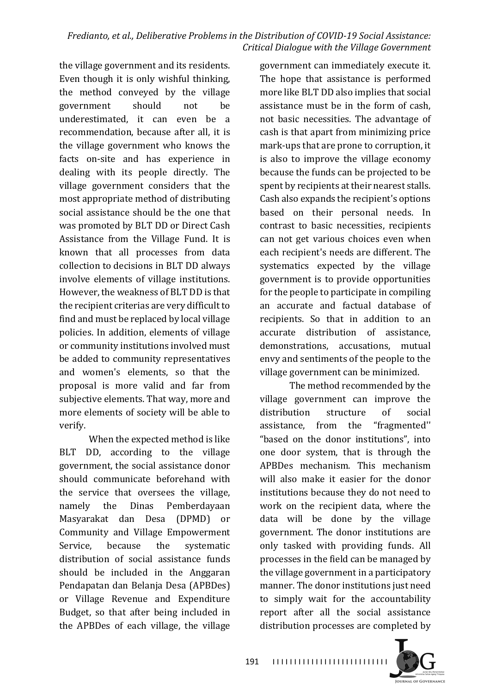the village government and its residents. Even though it is only wishful thinking, the method conveyed by the village government should not be underestimated, it can even be a recommendation, because after all, it is the village government who knows the facts on-site and has experience in dealing with its people directly. The village government considers that the most appropriate method of distributing social assistance should be the one that was promoted by BLT DD or Direct Cash Assistance from the Village Fund. It is known that all processes from data collection to decisions in BLT DD always involve elements of village institutions. However, the weakness of BLT DD is that the recipient criterias are very difficult to find and must be replaced by local village policies. In addition, elements of village or community institutions involved must be added to community representatives and women's elements, so that the proposal is more valid and far from subjective elements. That way, more and more elements of society will be able to verify. 

When the expected method is like BLT DD, according to the village government, the social assistance donor should communicate beforehand with the service that oversees the village. namely the Dinas Pemberdayaan Masyarakat dan Desa (DPMD) or Community and Village Empowerment Service, because the systematic distribution of social assistance funds should be included in the Anggaran Pendapatan dan Belanja Desa (APBDes) or Village Revenue and Expenditure Budget, so that after being included in the APBDes of each village, the village government can immediately execute it. The hope that assistance is performed more like BLT DD also implies that social assistance must be in the form of cash, not basic necessities. The advantage of cash is that apart from minimizing price mark-ups that are prone to corruption, it is also to improve the village economy because the funds can be projected to be spent by recipients at their nearest stalls. Cash also expands the recipient's options based on their personal needs. In contrast to basic necessities, recipients can not get various choices even when each recipient's needs are different. The systematics expected by the village government is to provide opportunities for the people to participate in compiling an accurate and factual database of recipients. So that in addition to an accurate distribution of assistance, demonstrations, accusations, mutual envy and sentiments of the people to the village government can be minimized.

The method recommended by the village government can improve the distribution structure of social assistance, from the "fragmented" "based on the donor institutions", into one door system, that is through the APBDes mechanism. This mechanism will also make it easier for the donor institutions because they do not need to work on the recipient data, where the data will be done by the village government. The donor institutions are only tasked with providing funds. All processes in the field can be managed by the village government in a participatory manner. The donor institutions just need to simply wait for the accountability report after all the social assistance distribution processes are completed by

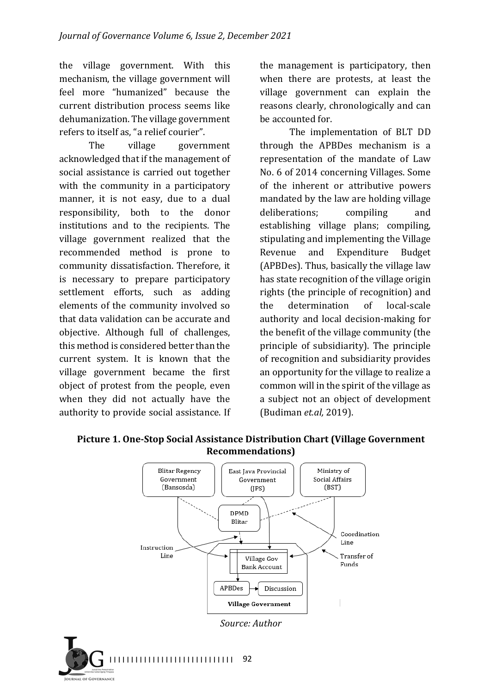the village government. With this mechanism, the village government will feel more "humanized" because the current distribution process seems like dehumanization. The village government refers to itself as, "a relief courier".

The village government acknowledged that if the management of social assistance is carried out together with the community in a participatory manner, it is not easy, due to a dual responsibility, both to the donor institutions and to the recipients. The village government realized that the recommended method is prone to community dissatisfaction. Therefore, it is necessary to prepare participatory settlement efforts, such as adding elements of the community involved so that data validation can be accurate and objective. Although full of challenges, this method is considered better than the current system. It is known that the village government became the first object of protest from the people, even when they did not actually have the authority to provide social assistance. If the management is participatory, then when there are protests, at least the village government can explain the reasons clearly, chronologically and can be accounted for.

The implementation of BLT DD through the APBDes mechanism is a representation of the mandate of Law No. 6 of 2014 concerning Villages. Some of the inherent or attributive powers mandated by the law are holding village deliberations; compiling and establishing village plans; compiling, stipulating and implementing the Village Revenue and Expenditure Budget (APBDes). Thus, basically the village law has state recognition of the village origin rights (the principle of recognition) and the determination of local-scale authority and local decision-making for the benefit of the village community (the principle of subsidiarity). The principle of recognition and subsidiarity provides an opportunity for the village to realize a common will in the spirit of the village as a subject not an object of development (Budiman *et.al,* 2019).



Picture 1. One-Stop Social Assistance Distribution Chart (Village Government **Recommendations)**

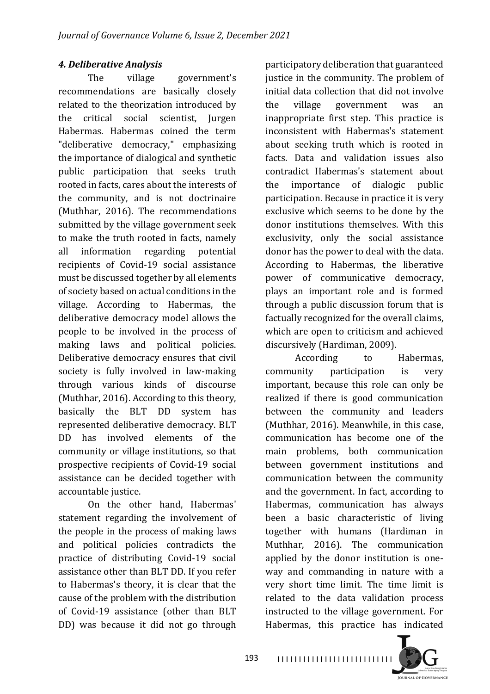## *4. Deliberative Analysis*

The village government's recommendations are basically closely related to the theorization introduced by the critical social scientist, Jurgen Habermas. Habermas coined the term "deliberative democracy," emphasizing the importance of dialogical and synthetic public participation that seeks truth rooted in facts, cares about the interests of the community, and is not doctrinaire (Muthhar, 2016). The recommendations submitted by the village government seek to make the truth rooted in facts, namely all information regarding potential recipients of Covid-19 social assistance must be discussed together by all elements of society based on actual conditions in the village. According to Habermas, the deliberative democracy model allows the people to be involved in the process of making laws and political policies. Deliberative democracy ensures that civil society is fully involved in law-making through various kinds of discourse (Muthhar, 2016). According to this theory, basically the BLT DD system has represented deliberative democracy. BLT DD has involved elements of the community or village institutions, so that prospective recipients of Covid-19 social assistance can be decided together with accountable justice.

On the other hand, Habermas' statement regarding the involvement of the people in the process of making laws and political policies contradicts the practice of distributing Covid-19 social assistance other than BLT DD. If you refer to Habermas's theory, it is clear that the cause of the problem with the distribution of Covid-19 assistance (other than BLT DD) was because it did not go through

participatory deliberation that guaranteed justice in the community. The problem of initial data collection that did not involve the village government was an inappropriate first step. This practice is inconsistent with Habermas's statement about seeking truth which is rooted in facts. Data and validation issues also contradict Habermas's statement about the importance of dialogic public participation. Because in practice it is very exclusive which seems to be done by the donor institutions themselves. With this exclusivity, only the social assistance donor has the power to deal with the data. According to Habermas, the liberative power of communicative democracy, plays an important role and is formed through a public discussion forum that is factually recognized for the overall claims, which are open to criticism and achieved discursively (Hardiman, 2009).

According to Habermas, community participation is very important, because this role can only be realized if there is good communication between the community and leaders (Muthhar, 2016). Meanwhile, in this case, communication has become one of the main problems, both communication between government institutions and communication between the community and the government. In fact, according to Habermas, communication has always been a basic characteristic of living together with humans (Hardiman in Muthhar, 2016). The communication applied by the donor institution is oneway and commanding in nature with a very short time limit. The time limit is related to the data validation process instructed to the village government. For Habermas, this practice has indicated

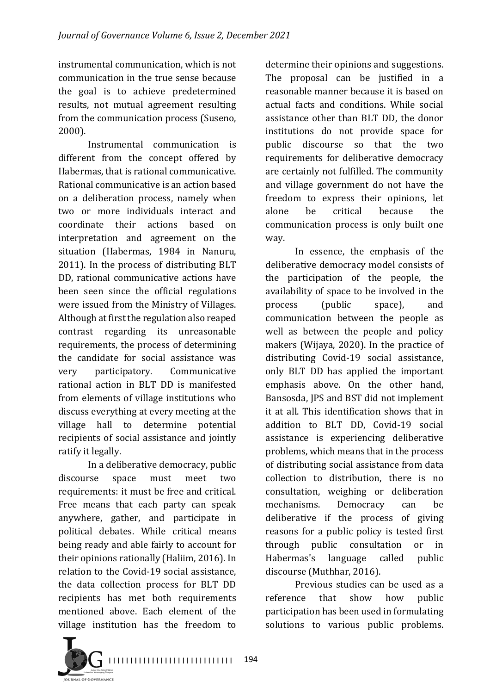instrumental communication, which is not communication in the true sense because the goal is to achieve predetermined results, not mutual agreement resulting from the communication process (Suseno, 2000).

Instrumental communication is different from the concept offered by Habermas, that is rational communicative. Rational communicative is an action based on a deliberation process, namely when two or more individuals interact and coordinate their actions based on interpretation and agreement on the situation (Habermas, 1984 in Nanuru,  $2011$ ). In the process of distributing BLT DD, rational communicative actions have been seen since the official regulations were issued from the Ministry of Villages. Although at first the regulation also reaped contrast regarding its unreasonable requirements, the process of determining the candidate for social assistance was very participatory. Communicative rational action in BLT DD is manifested from elements of village institutions who discuss everything at every meeting at the village hall to determine potential recipients of social assistance and jointly ratify it legally.

In a deliberative democracy, public discourse space must meet two requirements: it must be free and critical. Free means that each party can speak anywhere, gather, and participate in political debates. While critical means being ready and able fairly to account for their opinions rationally (Haliim, 2016). In relation to the Covid-19 social assistance, the data collection process for BLT DD recipients has met both requirements mentioned above. Each element of the village institution has the freedom to

determine their opinions and suggestions. The proposal can be justified in a reasonable manner because it is based on actual facts and conditions. While social assistance other than BLT DD, the donor institutions do not provide space for public discourse so that the two requirements for deliberative democracy are certainly not fulfilled. The community and village government do not have the freedom to express their opinions, let alone be critical because the communication process is only built one way.

In essence, the emphasis of the deliberative democracy model consists of the participation of the people, the availability of space to be involved in the process (public space), and communication between the people as well as between the people and policy makers (Wijaya, 2020). In the practice of distributing Covid-19 social assistance, only BLT DD has applied the important emphasis above. On the other hand, Bansosda, IPS and BST did not implement it at all. This identification shows that in addition to BLT DD, Covid-19 social assistance is experiencing deliberative problems, which means that in the process of distributing social assistance from data collection to distribution, there is no consultation, weighing or deliberation mechanisms. Democracy can be deliberative if the process of giving reasons for a public policy is tested first through public consultation or in Habermas's language called public discourse (Muthhar, 2016).

Previous studies can be used as a reference that show how public participation has been used in formulating solutions to various public problems.

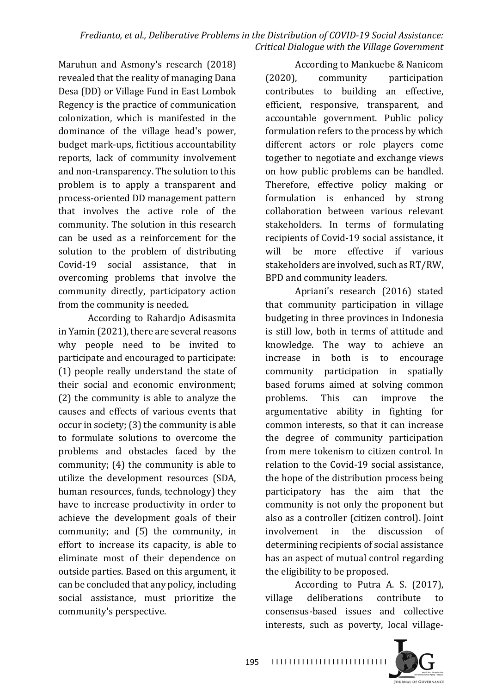Maruhun and Asmony's research (2018) revealed that the reality of managing Dana Desa (DD) or Village Fund in East Lombok Regency is the practice of communication colonization, which is manifested in the dominance of the village head's power, budget mark-ups, fictitious accountability reports, lack of community involvement and non-transparency. The solution to this problem is to apply a transparent and process-oriented DD management pattern that involves the active role of the community. The solution in this research can be used as a reinforcement for the solution to the problem of distributing Covid-19 social assistance, that in overcoming problems that involve the community directly, participatory action from the community is needed.

According to Rahardjo Adisasmita in Yamin (2021), there are several reasons why people need to be invited to participate and encouraged to participate: (1) people really understand the state of their social and economic environment;  $(2)$  the community is able to analyze the causes and effects of various events that occur in society;  $(3)$  the community is able to formulate solutions to overcome the problems and obstacles faced by the community;  $(4)$  the community is able to utilize the development resources (SDA, human resources, funds, technology) they have to increase productivity in order to achieve the development goals of their community; and  $(5)$  the community, in effort to increase its capacity, is able to eliminate most of their dependence on outside parties. Based on this argument, it can be concluded that any policy, including social assistance, must prioritize the community's perspective.

According to Mankuebe & Nanicom (2020), community participation contributes to building an effective, efficient, responsive, transparent, and accountable government. Public policy formulation refers to the process by which different actors or role players come together to negotiate and exchange views on how public problems can be handled. Therefore, effective policy making or formulation is enhanced by strong collaboration between various relevant stakeholders. In terms of formulating recipients of Covid-19 social assistance, it will be more effective if various stakeholders are involved, such as RT/RW, BPD and community leaders.

Apriani's research (2016) stated that community participation in village budgeting in three provinces in Indonesia is still low, both in terms of attitude and knowledge. The way to achieve an increase in both is to encourage community participation in spatially based forums aimed at solving common problems. This can improve the argumentative ability in fighting for common interests, so that it can increase the degree of community participation from mere tokenism to citizen control. In relation to the Covid-19 social assistance, the hope of the distribution process being participatory has the aim that the community is not only the proponent but also as a controller (citizen control). Joint involvement in the discussion of determining recipients of social assistance has an aspect of mutual control regarding the eligibility to be proposed.

According to Putra A. S. (2017). village deliberations contribute to consensus-based issues and collective interests, such as poverty, local village-

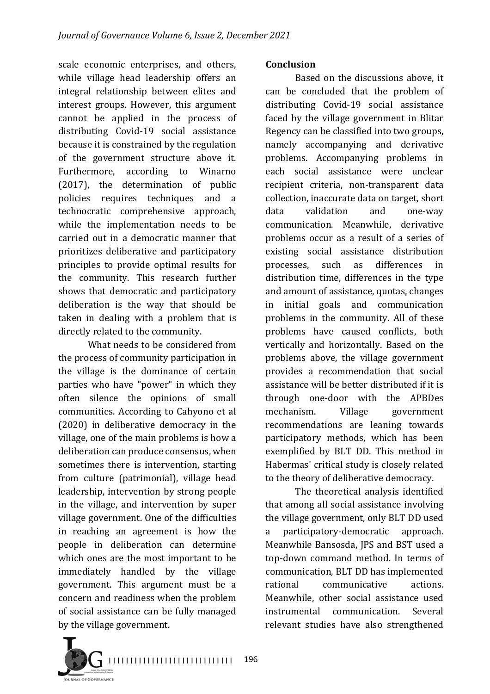scale economic enterprises, and others, while village head leadership offers an integral relationship between elites and interest groups. However, this argument cannot be applied in the process of distributing Covid-19 social assistance because it is constrained by the regulation of the government structure above it. Furthermore, according to Winarno (2017), the determination of public policies requires techniques and a technocratic comprehensive approach, while the implementation needs to be carried out in a democratic manner that prioritizes deliberative and participatory principles to provide optimal results for the community. This research further shows that democratic and participatory deliberation is the way that should be taken in dealing with a problem that is directly related to the community.

What needs to be considered from the process of community participation in the village is the dominance of certain parties who have "power" in which they often silence the opinions of small communities. According to Cahyono et al  $(2020)$  in deliberative democracy in the village, one of the main problems is how a deliberation can produce consensus, when sometimes there is intervention, starting from culture (patrimonial), village head leadership, intervention by strong people in the village, and intervention by super village government. One of the difficulties in reaching an agreement is how the people in deliberation can determine which ones are the most important to be immediately handled by the village government. This argument must be a concern and readiness when the problem of social assistance can be fully managed by the village government.

#### **Conclusion**

Based on the discussions above, it can be concluded that the problem of distributing Covid-19 social assistance faced by the village government in Blitar Regency can be classified into two groups, namely accompanying and derivative problems. Accompanying problems in each social assistance were unclear recipient criteria, non-transparent data collection, inaccurate data on target, short data validation and one-way communication. Meanwhile, derivative problems occur as a result of a series of existing social assistance distribution processes, such as differences in distribution time, differences in the type and amount of assistance, quotas, changes in initial goals and communication problems in the community. All of these problems have caused conflicts, both vertically and horizontally. Based on the problems above, the village government provides a recommendation that social assistance will be better distributed if it is through one-door with the APBDes mechanism. Village government recommendations are leaning towards participatory methods, which has been exemplified by BLT DD. This method in Habermas' critical study is closely related to the theory of deliberative democracy.

The theoretical analysis identified that among all social assistance involving the village government, only BLT DD used a participatory-democratic approach. Meanwhile Bansosda, JPS and BST used a top-down command method. In terms of communication, BLT DD has implemented rational communicative actions. Meanwhile, other social assistance used instrumental communication. Several relevant studies have also strengthened

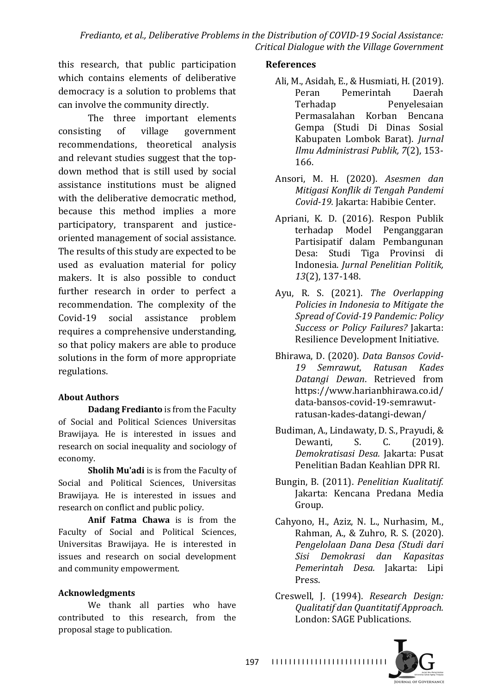this research, that public participation which contains elements of deliberative democracy is a solution to problems that can involve the community directly.

The three important elements consisting of village government recommendations, theoretical analysis and relevant studies suggest that the topdown method that is still used by social assistance institutions must be aligned with the deliberative democratic method, because this method implies a more participatory, transparent and justiceoriented management of social assistance. The results of this study are expected to be used as evaluation material for policy makers. It is also possible to conduct further research in order to perfect a recommendation. The complexity of the Covid-19 social assistance problem requires a comprehensive understanding, so that policy makers are able to produce solutions in the form of more appropriate regulations. 

### **About Authors**

**Dadang Fredianto** is from the Faculty of Social and Political Sciences Universitas Brawijaya. He is interested in issues and research on social inequality and sociology of economy.

**Sholih Mu'adi** is is from the Faculty of Social and Political Sciences, Universitas Brawijaya. He is interested in issues and research on conflict and public policy.

**Anif Fatma Chawa** is is from the Faculty of Social and Political Sciences, Universitas Brawijaya. He is interested in issues and research on social development and community empowerment.

### **Acknowledgments**

We thank all parties who have contributed to this research, from the proposal stage to publication.

#### **References**

- Ali, M., Asidah, E., & Husmiati, H. (2019). Peran Pemerintah Daerah Terhadap Penyelesaian Permasalahan Korban Bencana Gempa (Studi Di Dinas Sosial Kabupaten Lombok Barat). *Jurnal Ilmu Administrasi Publik, 7*(2), 153- 166.
- Ansori, M. H. (2020). *Asesmen dan Mitigasi Konflik di Tengah Pandemi*  Covid-19. Jakarta: Habibie Center.
- Apriani, K. D. (2016). Respon Publik terhadap Model Penganggaran Partisipatif dalam Pembangunan Desa: Studi Tiga Provinsi di Indonesia. *Jurnal Penelitian Politik, 13*(2), 137-148.
- Ayu, R. S. (2021). *The Overlapping Policies in Indonesia to Mitiaate the Spread of Covid-19 Pandemic: Policy Success or Policy Failures?* Jakarta: Resilience Development Initiative.
- Bhirawa, D. (2020). *Data Bansos Covid-19 Semrawut, Ratusan Kades Datangi Dewan*. Retrieved from https://www.harianbhirawa.co.id/ data-bansos-covid-19-semrawutratusan-kades-datangi-dewan/
- Budiman, A., Lindawaty, D. S., Prayudi, & Dewanti, S. C. (2019). *Demokratisasi Desa.* Jakarta: Pusat Penelitian Badan Keahlian DPR RL
- Bungin, B. (2011). *Penelitian Kualitatif.* Jakarta: Kencana Predana Media Group.
- Cahyono, H., Aziz, N. L., Nurhasim, M., Rahman, A., & Zuhro, R. S. (2020). *Pengelolaan Dana Desa (Studi dari Sisi Demokrasi dan Kapasitas Pemerintah Desa.* Jakarta: Lipi Press.
- Creswell, J. (1994). *Research Design: Qualitatif dan Quantitatif Approach.* London: SAGE Publications.

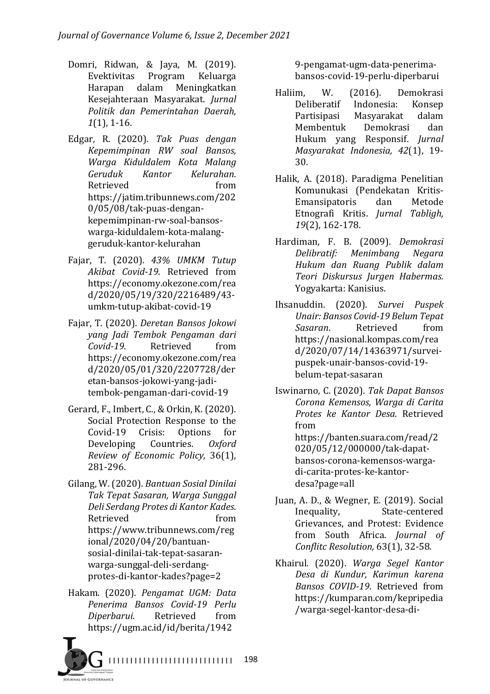- Domri, Ridwan, & Jaya, M. (2019). Evektivitas Program Keluarga Harapan dalam Meningkatkan Kesejahteraan Masyarakat. *Jurnal Politik dan Pemerintahan Daerah, 1*(1), 1-16.
- Edgar, R. (2020). *Tak Puas dengan Kepemimpinan RW soal Bansos, Warga Kiduldalem Kota Malang Geruduk Kantor Kelurahan*. Retrieved from https://jatim.tribunnews.com/202 0/05/08/tak-puas-dengankepemimpinan-rw-soal-bansoswarga-kiduldalem-kota-malanggeruduk-kantor-kelurahan
- Fajar, T. (2020). *43% UMKM Tutup Akibat Covid-19*. Retrieved from https://economy.okezone.com/rea d/2020/05/19/320/2216489/43 umkm-tutup-akibat-covid-19
- Fajar, T. (2020). *Deretan Bansos Jokowi yang Jadi Tembok Pengaman dari Covid-19*. Retrieved from https://economy.okezone.com/rea d/2020/05/01/320/2207728/der etan-bansos-jokowi-yang-jaditembok-pengaman-dari-covid-19
- Gerard, F., Imbert, C., & Orkin, K. (2020). Social Protection Response to the Covid-19 Crisis: Options for Developing Countries. Oxford *Review of Economic Policy,* 36(1), 281-296.
- Gilang, W. (2020). *Bantuan Sosial Dinilai Tak Tepat Sasaran, Warga Sunggal Deli Serdang Protes di Kantor Kades*. Retrieved from https://www.tribunnews.com/reg ional/2020/04/20/bantuansosial-dinilai-tak-tepat-sasaranwarga-sunggal-deli-serdangprotes-di-kantor-kades?page=2
- Hakam. (2020). *Pengamat UGM: Data Penerima Bansos Covid-19 Perlu Diperbarui*. Retrieved from https://ugm.ac.id/id/berita/1942

9-pengamat-ugm-data-penerimabansos-covid-19-perlu-diperbarui

- Haliim, W. (2016). Demokrasi Deliberatif Indonesia: Konsep Partisipasi Masyarakat dalam Membentuk Demokrasi dan Hukum yang Responsif. *Jurnal Masyarakat Indonesia, 42*(1), 19- 30.
- Halik, A. (2018). Paradigma Penelitian Komunukasi (Pendekatan Kritis-Emansipatoris dan Metode Etnografi Kritis. *Jurnal Tabligh*, *19*(2), 162-178.
- Hardiman, F. B. (2009). *Demokrasi Delibratif: Menimbang Negara Hukum dan Ruang Publik dalam Teori Diskursus Jurgen Habermas.* Yogyakarta: Kanisius.
- Ihsanuddin. (2020). *Survei Puspek Unair: Bansos Covid-19 Belum Tepat Sasaran*. Retrieved from https://nasional.kompas.com/rea d/2020/07/14/14363971/surveipuspek-unair-bansos-covid-19 belum-tepat-sasaran
- Iswinarno, C. (2020). *Tak Dapat Bansos Corona Kemensos, Warga di Carita Protes ke Kantor Desa*. Retrieved from https://banten.suara.com/read/2 020/05/12/000000/tak-dapatbansos-corona-kemensos-wargadi-carita-protes-ke-kantordesa?page=all
- Juan, A. D., & Wegner, E. (2019). Social Inequality, State-centered Grievances, and Protest: Evidence from South Africa. *Journal of Conflitc Resolution,* 63(1), 32-58.
- Khairul. (2020). *Warga Segel Kantor Desa di Kundur, Karimun karena Bansos COVID-19*. Retrieved from https://kumparan.com/kepripedia /warga-segel-kantor-desa-di-

**IRNAL OF GOVERNANCE**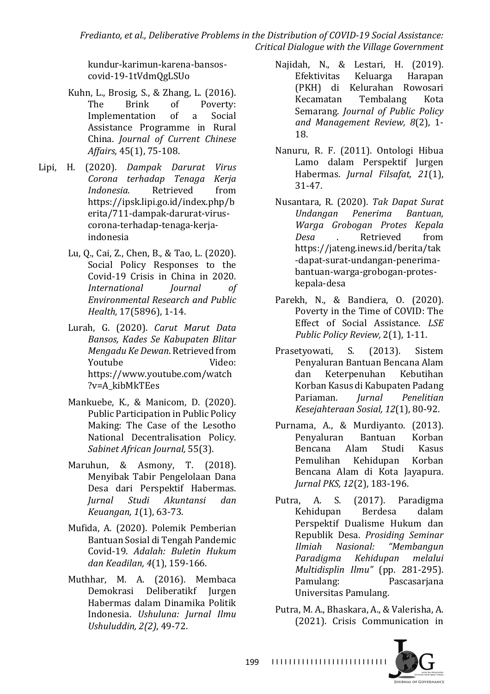*Fredianto, et al., Deliberative Problems in the Distribution of COVID-19 Social Assistance: Critical Dialogue with the Village Government*

kundur-karimun-karena-bansoscovid-19-1tVdmQgLSUo

- Kuhn, L., Brosig, S., & Zhang, L. (2016). The Brink of Poverty: Implementation of a Social Assistance Programme in Rural China. *Journal of Current Chinese Affairs,* 45(1), 75-108.
- Lipi, H. (2020). *Dampak Darurat Virus Corona terhadap Tenaga Kerja Indonesia.* Retrieved from https://ipsk.lipi.go.id/index.php/b erita/711-dampak-darurat-viruscorona-terhadap-tenaga-kerjaindonesia
	- Lu, Q., Cai, Z., Chen, B., & Tao, L. (2020). Social Policy Responses to the Covid-19 Crisis in China in 2020. *International Journal of Environmental Research and Public Health*, 17(5896), 1-14.
	- Lurah, G. (2020). *Carut Marut Data Bansos, Kades Se Kabupaten Blitar Mengadu Ke Dewan*. Retrieved from Youtube **Video:** https://www.youtube.com/watch ?v=A\_kibMkTEes
	- Mankuebe, K., & Manicom, D. (2020). Public Participation in Public Policy Making: The Case of the Lesotho National Decentralisation Policy. *Sabinet African Journal,* 55(3).
	- Maruhun, & Asmony, T. (2018). Menyibak Tabir Pengelolaan Dana Desa dari Perspektif Habermas. *Jurnal Studi Akuntansi dan Keuangan,* 1(1), 63-73.
	- Mufida, A. (2020). Polemik Pemberian Bantuan Sosial di Tengah Pandemic Covid-19. *Adalah: Buletin Hukum dan Keadilan, 4*(1), 159-166.
	- Muthhar, M. A. (2016). Membaca Demokrasi Deliberatikf Jurgen Habermas dalam Dinamika Politik Indonesia. *Ushuluna: Jurnal Ilmu Ushuluddin, 2(2)*, 49-72.
- Najidah, N., & Lestari, H. (2019). Efektivitas Keluarga Harapan (PKH) di Kelurahan Rowosari Kecamatan Tembalang Kota Semarang. *Journal of Public Policy and Management Review, 8*(2), 1- 18.
- Nanuru, R. F. (2011). Ontologi Hibua Lamo dalam Perspektif Jurgen Habermas. *Jurnal Filsafat*, 21(1), 31-47.
- Nusantara, R. (2020). *Tak Dapat Surat Undangan Penerima Bantuan, Warga Grobogan Protes Kepala Desa*  . Retrieved from https://jateng.inews.id/berita/tak -dapat-surat-undangan-penerimabantuan-warga-grobogan-proteskepala-desa
- Parekh, N., & Bandiera, O. (2020). Poverty in the Time of COVID: The Effect of Social Assistance. *LSE Public Policy Review, 2(1), 1-11.*
- Prasetyowati, S. (2013). Sistem Penyaluran Bantuan Bencana Alam dan Keterpenuhan Kebutihan Korban Kasus di Kabupaten Padang Pariaman. *Jurnal Penelitian Kesejahteraan Sosial, 12*(1), 80-92.
- Purnama, A., & Murdiyanto. (2013). Penyaluran Bantuan Korban Bencana Alam Studi Kasus Pemulihan Kehidupan Korban Bencana Alam di Kota Jayapura. *Jurnal PKS, 12*(2), 183-196.
- Putra, A. S. (2017). Paradigma Kehidupan Berdesa dalam Perspektif Dualisme Hukum dan Republik Desa. *Prosiding Seminar Ilmiah Nasional: "Membangun Paradigma Kehidupan melalui Multidisplin Ilmu"* (pp. 281-295). Pamulang: Pascasarjana Universitas Pamulang.
- Putra, M. A., Bhaskara, A., & Valerisha, A. (2021). Crisis Communication in

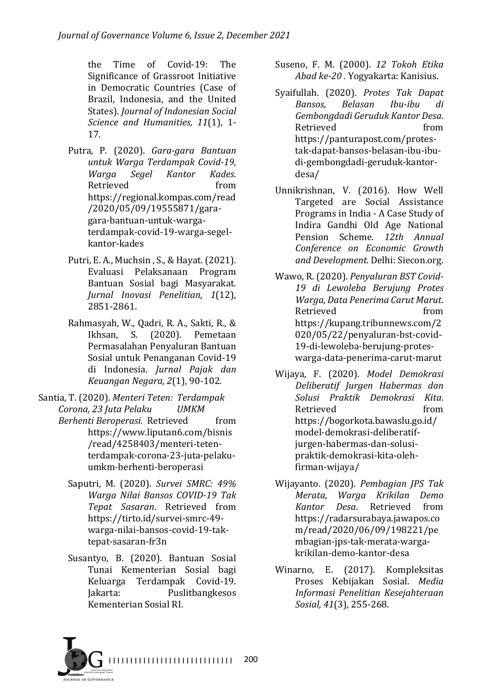the Time of Covid-19: The Significance of Grassroot Initiative in Democratic Countries (Case of Brazil, Indonesia, and the United States). *Journal of Indonesian Social Science and Humanities, 11*(1), 1-17.

- Putra, P. (2020). *Gara-gara Bantuan untuk Warga Terdampak Covid-19, Warga Segel Kantor Kades*. Retrieved from https://regional.kompas.com/read /2020/05/09/19555871/garagara-bantuan-untuk-wargaterdampak-covid-19-warga-segelkantor-kades
- Putri, E. A., Muchsin, S., & Hayat. (2021). Evaluasi Pelaksanaan Program Bantuan Sosial bagi Masyarakat. *Jurnal Inovasi Penelitian, 1*(12), 2851-2861.
- Rahmasyah, W., Qadri, R. A., Sakti, R., & Ikhsan, S. (2020). Pemetaan Permasalahan Penyaluran Bantuan Sosial untuk Penanganan Covid-19 di Indonesia. *Jurnal Pajak dan Keuangan Negara, 2*(1), 90-102.
- Santia, T. (2020). *Menteri Teten: Terdampak Corona, 23 Juta Pelaku UMKM* 
	- *Berhenti Beroperasi.* Retrieved from https://www.liputan6.com/bisnis /read/4258403/menteri-tetenterdampak-corona-23-juta-pelakuumkm-berhenti-beroperasi
		- Saputri, M. (2020). *Survei SMRC: 49% Warga Nilai Bansos COVID-19 Tak Tepat Sasaran*. Retrieved from https://tirto.id/survei-smrc-49 warga-nilai-bansos-covid-19-taktepat-sasaran-fr3n
		- Susantyo, B. (2020). Bantuan Sosial Tunai Kementerian Sosial bagi Keluarga Terdampak Covid-19. Jakarta: Puslitbangkesos Kementerian Sosial RI.
- Suseno, F. M. (2000). 12 Tokoh Etika Abad ke-20. Yogyakarta: Kanisius.
- Syaifullah. (2020). Protes Tak Dapat *Bansos, Belasan Ibu-ibu di Gembongdadi Geruduk Kantor Desa*. Retrieved from https://panturapost.com/protestak-dapat-bansos-belasan-ibu-ibudi-gembongdadi-geruduk-kantordesa/
- Unnikrishnan, V. (2016). How Well Targeted are Social Assistance Programs in India - A Case Study of Indira Gandhi Old Age National Pension Scheme. 12th Annual *Conference on Economic Growth and Development.* Delhi: Siecon.org.
- Wawo, R. (2020). Penyaluran BST Covid-*19 di Lewoleba Berujung Protes Warga, Data Penerima Carut Marut*. Retrieved from https://kupang.tribunnews.com/2 020/05/22/penyaluran-bst-covid-19-di-lewoleba-berujung-proteswarga-data-penerima-carut-marut
- Wijaya, F. (2020). *Model Demokrasi Deliberatif Jurgen Habermas dan Solusi Praktik Demokrasi Kita*. Retrieved from https://bogorkota.bawaslu.go.id/ model-demokrasi-deliberatifjurgen-habermas-dan-solusipraktik-demokrasi-kita-olehfirman-wijaya/
- Wijayanto. (2020). *Pembagian JPS Tak Merata, Warga Krikilan Demo Kantor Desa*. Retrieved from https://radarsurabaya.jawapos.co m/read/2020/06/09/198221/pe mbagian-jps-tak-merata-wargakrikilan-demo-kantor-desa
- Winarno, E. (2017). Kompleksitas Proses Kebijakan Sosial. *Media Informasi Penelitian Kesejahteraan*  Sosial, 41(3), 255-268.